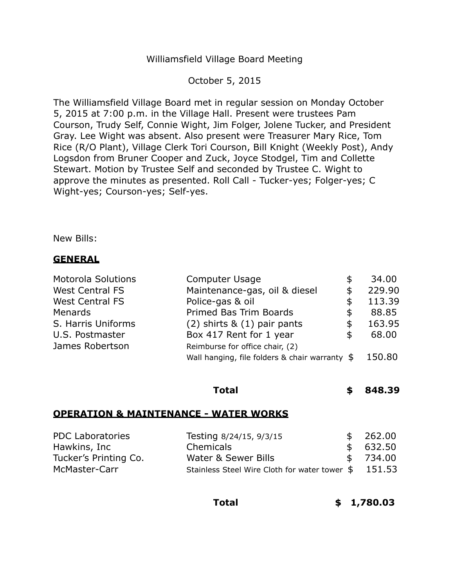#### Williamsfield Village Board Meeting

#### October 5, 2015

The Williamsfield Village Board met in regular session on Monday October 5, 2015 at 7:00 p.m. in the Village Hall. Present were trustees Pam Courson, Trudy Self, Connie Wight, Jim Folger, Jolene Tucker, and President Gray. Lee Wight was absent. Also present were Treasurer Mary Rice, Tom Rice (R/O Plant), Village Clerk Tori Courson, Bill Knight (Weekly Post), Andy Logsdon from Bruner Cooper and Zuck, Joyce Stodgel, Tim and Collette Stewart. Motion by Trustee Self and seconded by Trustee C. Wight to approve the minutes as presented. Roll Call - Tucker-yes; Folger-yes; C Wight-yes; Courson-yes; Self-yes.

New Bills:

# **GENERAL**

| <b>Motorola Solutions</b> | Computer Usage                                        | S  | 34.00  |
|---------------------------|-------------------------------------------------------|----|--------|
| <b>West Central FS</b>    | Maintenance-gas, oil & diesel                         | \$ | 229.90 |
| <b>West Central FS</b>    | Police-gas & oil                                      | \$ | 113.39 |
| <b>Menards</b>            | Primed Bas Trim Boards                                | \$ | 88.85  |
| S. Harris Uniforms        | $(2)$ shirts & $(1)$ pair pants                       | \$ | 163.95 |
| U.S. Postmaster           | Box 417 Rent for 1 year                               | \$ | 68.00  |
| James Robertson           | Reimburse for office chair, (2)                       |    |        |
|                           | Wall hanging, file folders & chair warranty $$150.80$ |    |        |

# **Total \$ 848.39**

#### **OPERATION & MAINTENANCE - WATER WORKS**

| <b>PDC Laboratories</b> | Testing 8/24/15, 9/3/15                             | \$262.00 |
|-------------------------|-----------------------------------------------------|----------|
| Hawkins, Inc            | Chemicals                                           | \$632.50 |
| Tucker's Printing Co.   | Water & Sewer Bills                                 | \$734.00 |
| McMaster-Carr           | Stainless Steel Wire Cloth for water tower \$151.53 |          |

**Total \$ [1,780.03](https://1,780.03)**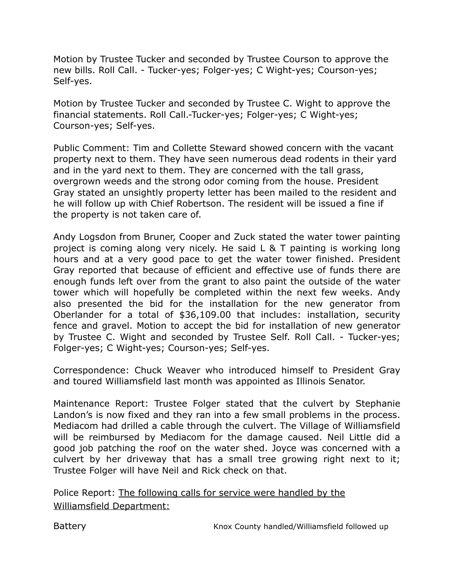Motion by Trustee Tucker and seconded by Trustee Courson to approve the new bills. Roll Call. - Tucker-yes; Folger-yes; C Wight-yes; Courson-yes; Self-yes.

 Motion by Trustee Tucker and seconded by Trustee C. Wight to approve the financial statements. Roll Call.-Tucker-yes; Folger-yes; C Wight-yes; Courson-yes; Self-yes.

 Public Comment: Tim and Collette Steward showed concern with the vacant property next to them. They have seen numerous dead rodents in their yard and in the yard next to them. They are concerned with the tall grass, overgrown weeds and the strong odor coming from the house. President Gray stated an unsightly property letter has been mailed to the resident and he will follow up with Chief Robertson. The resident will be issued a fine if the property is not taken care of.

 Andy Logsdon from Bruner, Cooper and Zuck stated the water tower painting project is coming along very nicely. He said L & T painting is working long hours and at a very good pace to get the water tower finished. President Gray reported that because of efficient and effective use of funds there are enough funds left over from the grant to also paint the outside of the water tower which will hopefully be completed within the next few weeks. Andy also presented the bid for the installation for the new generator from Oberlander for a total of [\\$36,109.00](https://36,109.00) that includes: installation, security fence and gravel. Motion to accept the bid for installation of new generator by Trustee C. Wight and seconded by Trustee Self. Roll Call. - Tucker-yes; Folger-yes; C Wight-yes; Courson-yes; Self-yes.

 Correspondence: Chuck Weaver who introduced himself to President Gray and toured Williamsfield last month was appointed as Illinois Senator.

 Maintenance Report: Trustee Folger stated that the culvert by Stephanie Landon's is now fixed and they ran into a few small problems in the process. Mediacom had drilled a cable through the culvert. The Village of Williamsfield will be reimbursed by Mediacom for the damage caused. Neil Little did a good job patching the roof on the water shed. Joyce was concerned with a culvert by her driveway that has a small tree growing right next to it; Trustee Folger will have Neil and Rick check on that.

Police Report: The following calls for service were handled by the Williamsfield Department:

**Battery**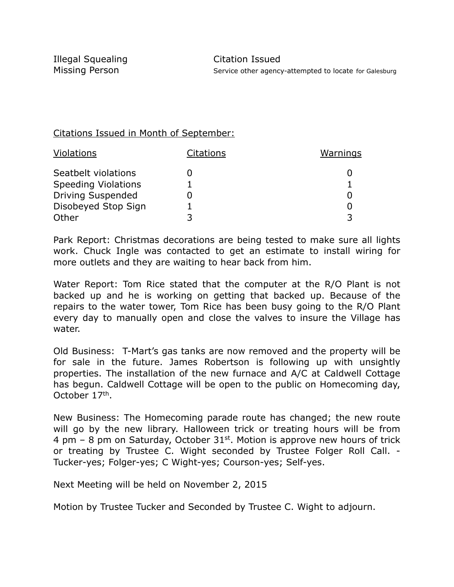# Citations Issued in Month of September:

| <b>Violations</b>          | <b>Citations</b> | <b>Warnings</b> |
|----------------------------|------------------|-----------------|
| Seatbelt violations        |                  |                 |
| <b>Speeding Violations</b> |                  |                 |
| <b>Driving Suspended</b>   |                  |                 |
| Disobeyed Stop Sign        |                  |                 |
| Other                      |                  |                 |

 Park Report: Christmas decorations are being tested to make sure all lights work. Chuck Ingle was contacted to get an estimate to install wiring for more outlets and they are waiting to hear back from him.

 Water Report: Tom Rice stated that the computer at the R/O Plant is not backed up and he is working on getting that backed up. Because of the repairs to the water tower, Tom Rice has been busy going to the R/O Plant every day to manually open and close the valves to insure the Village has water.

water.<br>Old Business: T-Mart's gas tanks are now removed and the property will be for sale in the future. James Robertson is following up with unsightly properties. The installation of the new furnace and A/C at Caldwell Cottage has begun. Caldwell Cottage will be open to the public on Homecoming day, October 17th.

 New Business: The Homecoming parade route has changed; the new route will go by the new library. Halloween trick or treating hours will be from 4 pm – 8 pm on Saturday, October  $31^{st}$ . Motion is approve new hours of trick or treating by Trustee C. Wight seconded by Trustee Folger Roll Call. - Tucker-yes; Folger-yes; C Wight-yes; Courson-yes; Self-yes.

Next Meeting will be held on November 2, 2015

Motion by Trustee Tucker and Seconded by Trustee C. Wight to adjourn.